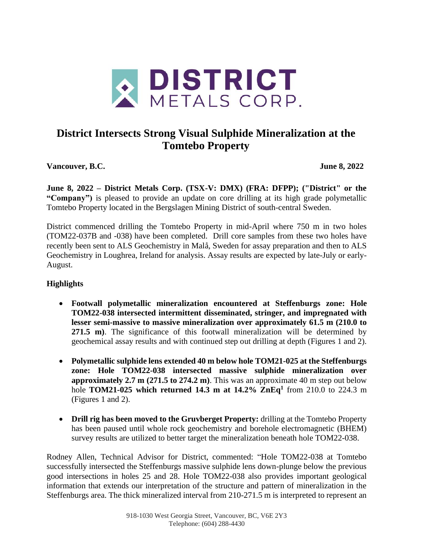

# **District Intersects Strong Visual Sulphide Mineralization at the Tomtebo Property**

**Vancouver, B.C. June 8, 2022**

**June 8, 2022 – District Metals Corp. (TSX-V: DMX) (FRA: DFPP); ("District" or the "Company")** is pleased to provide an update on core drilling at its high grade polymetallic Tomtebo Property located in the Bergslagen Mining District of south-central Sweden.

District commenced drilling the Tomtebo Property in mid-April where 750 m in two holes (TOM22-037B and -038) have been completed. Drill core samples from these two holes have recently been sent to ALS Geochemistry in Malå, Sweden for assay preparation and then to ALS Geochemistry in Loughrea, Ireland for analysis. Assay results are expected by late-July or early-August.

## **Highlights**

- **Footwall polymetallic mineralization encountered at Steffenburgs zone: Hole TOM22-038 intersected intermittent disseminated, stringer, and impregnated with lesser semi-massive to massive mineralization over approximately 61.5 m (210.0 to 271.5 m)**. The significance of this footwall mineralization will be determined by geochemical assay results and with continued step out drilling at depth (Figures 1 and 2).
- **Polymetallic sulphide lens extended 40 m below hole TOM21-025 at the Steffenburgs zone: Hole TOM22-038 intersected massive sulphide mineralization over approximately 2.7 m (271.5 to 274.2 m)**. This was an approximate 40 m step out below hole **TOM21-025 which returned 14.3 m at 14.2% ZnEq<sup>1</sup>** from 210.0 to 224.3 m (Figures 1 and 2).
- **Drill rig has been moved to the Gruvberget Property:** drilling at the Tomtebo Property has been paused until whole rock geochemistry and borehole electromagnetic (BHEM) survey results are utilized to better target the mineralization beneath hole TOM22-038.

Rodney Allen, Technical Advisor for District, commented: "Hole TOM22-038 at Tomtebo successfully intersected the Steffenburgs massive sulphide lens down-plunge below the previous good intersections in holes 25 and 28. Hole TOM22-038 also provides important geological information that extends our interpretation of the structure and pattern of mineralization in the Steffenburgs area. The thick mineralized interval from 210-271.5 m is interpreted to represent an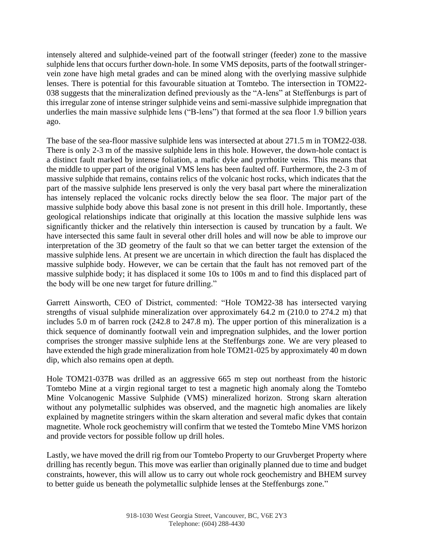intensely altered and sulphide-veined part of the footwall stringer (feeder) zone to the massive sulphide lens that occurs further down-hole. In some VMS deposits, parts of the footwall stringervein zone have high metal grades and can be mined along with the overlying massive sulphide lenses. There is potential for this favourable situation at Tomtebo. The intersection in TOM22- 038 suggests that the mineralization defined previously as the "A-lens" at Steffenburgs is part of this irregular zone of intense stringer sulphide veins and semi-massive sulphide impregnation that underlies the main massive sulphide lens ("B-lens") that formed at the sea floor 1.9 billion years ago.

The base of the sea-floor massive sulphide lens was intersected at about 271.5 m in TOM22-038. There is only 2-3 m of the massive sulphide lens in this hole. However, the down-hole contact is a distinct fault marked by intense foliation, a mafic dyke and pyrrhotite veins. This means that the middle to upper part of the original VMS lens has been faulted off. Furthermore, the 2-3 m of massive sulphide that remains, contains relics of the volcanic host rocks, which indicates that the part of the massive sulphide lens preserved is only the very basal part where the mineralization has intensely replaced the volcanic rocks directly below the sea floor. The major part of the massive sulphide body above this basal zone is not present in this drill hole. Importantly, these geological relationships indicate that originally at this location the massive sulphide lens was significantly thicker and the relatively thin intersection is caused by truncation by a fault. We have intersected this same fault in several other drill holes and will now be able to improve our interpretation of the 3D geometry of the fault so that we can better target the extension of the massive sulphide lens. At present we are uncertain in which direction the fault has displaced the massive sulphide body. However, we can be certain that the fault has not removed part of the massive sulphide body; it has displaced it some 10s to 100s m and to find this displaced part of the body will be one new target for future drilling."

Garrett Ainsworth, CEO of District, commented: "Hole TOM22-38 has intersected varying strengths of visual sulphide mineralization over approximately 64.2 m (210.0 to 274.2 m) that includes 5.0 m of barren rock (242.8 to 247.8 m). The upper portion of this mineralization is a thick sequence of dominantly footwall vein and impregnation sulphides, and the lower portion comprises the stronger massive sulphide lens at the Steffenburgs zone. We are very pleased to have extended the high grade mineralization from hole TOM21-025 by approximately 40 m down dip, which also remains open at depth.

Hole TOM21-037B was drilled as an aggressive 665 m step out northeast from the historic Tomtebo Mine at a virgin regional target to test a magnetic high anomaly along the Tomtebo Mine Volcanogenic Massive Sulphide (VMS) mineralized horizon. Strong skarn alteration without any polymetallic sulphides was observed, and the magnetic high anomalies are likely explained by magnetite stringers within the skarn alteration and several mafic dykes that contain magnetite. Whole rock geochemistry will confirm that we tested the Tomtebo Mine VMS horizon and provide vectors for possible follow up drill holes.

Lastly, we have moved the drill rig from our Tomtebo Property to our Gruvberget Property where drilling has recently begun. This move was earlier than originally planned due to time and budget constraints, however, this will allow us to carry out whole rock geochemistry and BHEM survey to better guide us beneath the polymetallic sulphide lenses at the Steffenburgs zone."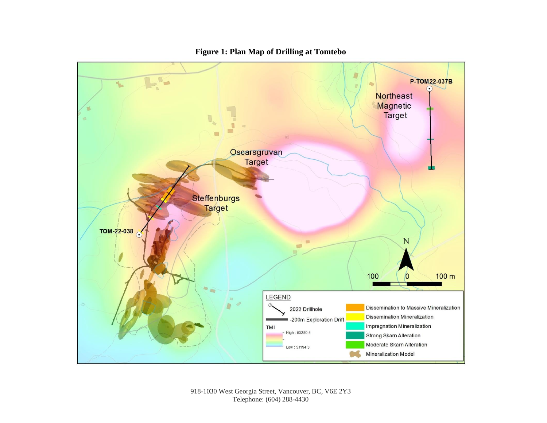

**Figure 1: Plan Map of Drilling at Tomtebo**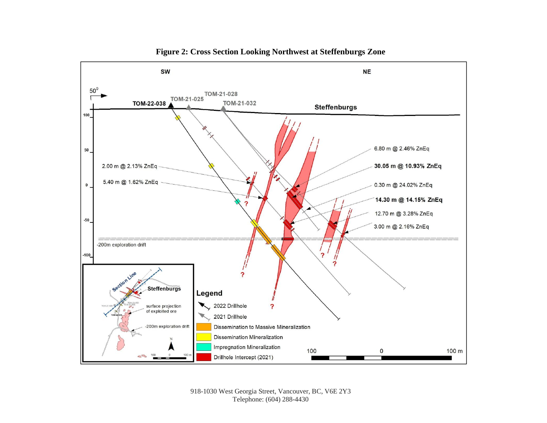

**Figure 2: Cross Section Looking Northwest at Steffenburgs Zone**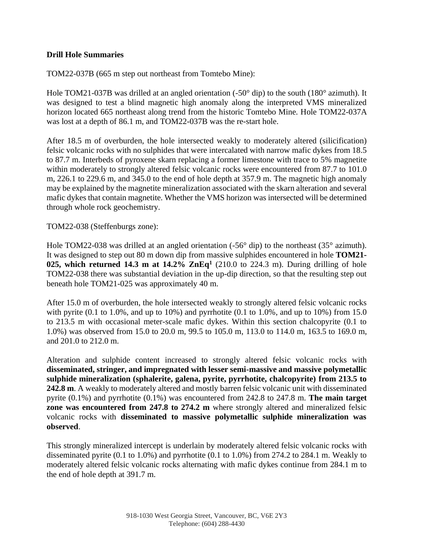### **Drill Hole Summaries**

TOM22-037B (665 m step out northeast from Tomtebo Mine):

Hole TOM21-037B was drilled at an angled orientation (-50° dip) to the south (180° azimuth). It was designed to test a blind magnetic high anomaly along the interpreted VMS mineralized horizon located 665 northeast along trend from the historic Tomtebo Mine. Hole TOM22-037A was lost at a depth of 86.1 m, and TOM22-037B was the re-start hole.

After 18.5 m of overburden, the hole intersected weakly to moderately altered (silicification) felsic volcanic rocks with no sulphides that were intercalated with narrow mafic dykes from 18.5 to 87.7 m. Interbeds of pyroxene skarn replacing a former limestone with trace to 5% magnetite within moderately to strongly altered felsic volcanic rocks were encountered from 87.7 to 101.0 m, 226.1 to 229.6 m, and 345.0 to the end of hole depth at 357.9 m. The magnetic high anomaly may be explained by the magnetite mineralization associated with the skarn alteration and several mafic dykes that contain magnetite. Whether the VMS horizon was intersected will be determined through whole rock geochemistry.

TOM22-038 (Steffenburgs zone):

Hole TOM22-038 was drilled at an angled orientation (-56° dip) to the northeast (35° azimuth). It was designed to step out 80 m down dip from massive sulphides encountered in hole **TOM21- 025, which returned 14.3 m at 14.2% ZnEq<sup>1</sup>** (210.0 to 224.3 m). During drilling of hole TOM22-038 there was substantial deviation in the up-dip direction, so that the resulting step out beneath hole TOM21-025 was approximately 40 m.

After 15.0 m of overburden, the hole intersected weakly to strongly altered felsic volcanic rocks with pyrite  $(0.1 \text{ to } 1.0\%$ , and up to 10%) and pyrrhotite  $(0.1 \text{ to } 1.0\%$ , and up to 10%) from 15.0 to 213.5 m with occasional meter-scale mafic dykes. Within this section chalcopyrite (0.1 to 1.0%) was observed from 15.0 to 20.0 m, 99.5 to 105.0 m, 113.0 to 114.0 m, 163.5 to 169.0 m, and 201.0 to 212.0 m.

Alteration and sulphide content increased to strongly altered felsic volcanic rocks with **disseminated, stringer, and impregnated with lesser semi-massive and massive polymetallic sulphide mineralization (sphalerite, galena, pyrite, pyrrhotite, chalcopyrite) from 213.5 to 242.8 m**. A weakly to moderately altered and mostly barren felsic volcanic unit with disseminated pyrite (0.1%) and pyrrhotite (0.1%) was encountered from 242.8 to 247.8 m. **The main target zone was encountered from 247.8 to 274.2 m** where strongly altered and mineralized felsic volcanic rocks with **disseminated to massive polymetallic sulphide mineralization was observed**.

This strongly mineralized intercept is underlain by moderately altered felsic volcanic rocks with disseminated pyrite (0.1 to 1.0%) and pyrrhotite (0.1 to 1.0%) from 274.2 to 284.1 m. Weakly to moderately altered felsic volcanic rocks alternating with mafic dykes continue from 284.1 m to the end of hole depth at 391.7 m.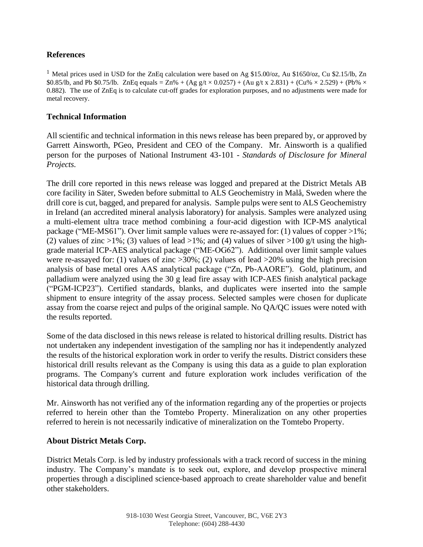### **References**

<sup>1</sup> Metal prices used in USD for the ZnEq calculation were based on Ag \$15.00/oz, Au \$1650/oz, Cu \$2.15/lb, Zn \$0.85/lb, and Pb \$0.75/lb. ZnEq equals = Zn% + (Ag g/t  $\times$  0.0257) + (Au g/t x 2.831) + (Cu%  $\times$  2.529) + (Pb%  $\times$ 0.882). The use of ZnEq is to calculate cut-off grades for exploration purposes, and no adjustments were made for metal recovery.

#### **Technical Information**

All scientific and technical information in this news release has been prepared by, or approved by Garrett Ainsworth, PGeo, President and CEO of the Company. Mr. Ainsworth is a qualified person for the purposes of National Instrument 43-101 - *Standards of Disclosure for Mineral Projects.*

The drill core reported in this news release was logged and prepared at the District Metals AB core facility in Säter, Sweden before submittal to ALS Geochemistry in Malå, Sweden where the drill core is cut, bagged, and prepared for analysis. Sample pulps were sent to ALS Geochemistry in Ireland (an accredited mineral analysis laboratory) for analysis. Samples were analyzed using a multi-element ultra trace method combining a four-acid digestion with ICP-MS analytical package ("ME-MS61"). Over limit sample values were re-assayed for: (1) values of copper >1%; (2) values of zinc  $>1\%$ ; (3) values of lead  $>1\%$ ; and (4) values of silver  $>100$  g/t using the highgrade material ICP-AES analytical package ("ME-OG62"). Additional over limit sample values were re-assayed for: (1) values of zinc  $>30\%$ ; (2) values of lead  $>20\%$  using the high precision analysis of base metal ores AAS analytical package ("Zn, Pb-AAORE"). Gold, platinum, and palladium were analyzed using the 30 g lead fire assay with ICP-AES finish analytical package ("PGM-ICP23"). Certified standards, blanks, and duplicates were inserted into the sample shipment to ensure integrity of the assay process. Selected samples were chosen for duplicate assay from the coarse reject and pulps of the original sample. No QA/QC issues were noted with the results reported.

Some of the data disclosed in this news release is related to historical drilling results. District has not undertaken any independent investigation of the sampling nor has it independently analyzed the results of the historical exploration work in order to verify the results. District considers these historical drill results relevant as the Company is using this data as a guide to plan exploration programs. The Company's current and future exploration work includes verification of the historical data through drilling.

Mr. Ainsworth has not verified any of the information regarding any of the properties or projects referred to herein other than the Tomtebo Property. Mineralization on any other properties referred to herein is not necessarily indicative of mineralization on the Tomtebo Property.

#### **About District Metals Corp.**

District Metals Corp. is led by industry professionals with a track record of success in the mining industry. The Company's mandate is to seek out, explore, and develop prospective mineral properties through a disciplined science-based approach to create shareholder value and benefit other stakeholders.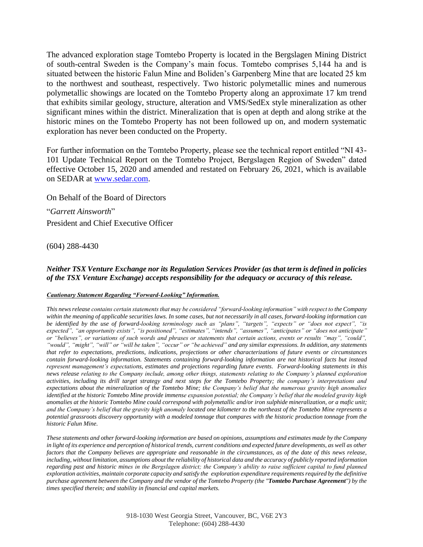The advanced exploration stage Tomtebo Property is located in the Bergslagen Mining District of south-central Sweden is the Company's main focus. Tomtebo comprises 5,144 ha and is situated between the historic Falun Mine and Boliden's Garpenberg Mine that are located 25 km to the northwest and southeast, respectively. Two historic polymetallic mines and numerous polymetallic showings are located on the Tomtebo Property along an approximate 17 km trend that exhibits similar geology, structure, alteration and VMS/SedEx style mineralization as other significant mines within the district. Mineralization that is open at depth and along strike at the historic mines on the Tomtebo Property has not been followed up on, and modern systematic exploration has never been conducted on the Property.

For further information on the Tomtebo Property, please see the technical report entitled "NI 43- 101 Update Technical Report on the Tomtebo Project, Bergslagen Region of Sweden" dated effective October 15, 2020 and amended and restated on February 26, 2021, which is available on SEDAR at [www.sedar.com.](http://www.sedar.com/)

On Behalf of the Board of Directors "*Garrett Ainsworth*" President and Chief Executive Officer

(604) 288-4430

#### *Neither TSX Venture Exchange nor its Regulation Services Provider (as that term is defined in policies of the TSX Venture Exchange) accepts responsibility for the adequacy or accuracy of this release.*

#### *Cautionary Statement Regarding "Forward-Looking" Information.*

*This news release contains certain statements that may be considered "forward-looking information" with respect to the Company within the meaning of applicable securities laws. In some cases, but not necessarily in all cases, forward-looking information can be identified by the use of forward-looking terminology such as "plans", "targets", "expects" or "does not expect", "is expected", "an opportunity exists", "is positioned", "estimates", "intends", "assumes", "anticipates" or "does not anticipate" or "believes", or variations of such words and phrases or statements that certain actions, events or results "may", "could", "would", "might", "will" or "will be taken", "occur" or "be achieved" and any similar expressions. In addition, any statements that refer to expectations, predictions, indications, projections or other characterizations of future events or circumstances contain forward-looking information. Statements containing forward-looking information are not historical facts but instead*  represent management's expectations, estimates and projections regarding future events. Forward-looking statements in this *news release relating to the Company include, among other things, statements relating to the Company's planned exploration activities, including its drill target strategy and next steps for the Tomtebo Property; the company's interpretations and expectations about the mineralization of the Tomtebo Mine; the Company's belief that the numerous gravity high anomalies identified at the historic Tomtebo Mine provide immense expansion potential; the Company's belief that the modeled gravity high anomalies at the historic Tomtebo Mine could correspond with polymetallic and/or iron sulphide mineralization, or a mafic unit; and the Company's belief that the gravity high anomaly located one kilometer to the northeast of the Tomtebo Mine represents a potential grassroots discovery opportunity with a modeled tonnage that compares with the historic production tonnage from the historic Falun Mine.*

*These statements and other forward-looking information are based on opinions, assumptions and estimates made by the Company*  in light of its experience and perception of historical trends, current conditions and expected future developments, as well as other *factors that the Company believes are appropriate and reasonable in the circumstances, as of the date of this news release, including, without limitation, assumptions about the reliability of historical data and the accuracy of publicly reported information regarding past and historic mines in the Bergslagen district; the Company's ability to raise sufficient capital to fund planned exploration activities, maintain corporate capacity and satisfy the exploration expenditure requirements required by the definitive purchase agreement between the Company and the vendor of the Tomtebo Property (the "Tomtebo Purchase Agreement") by the times specified therein; and stability in financial and capital markets.*